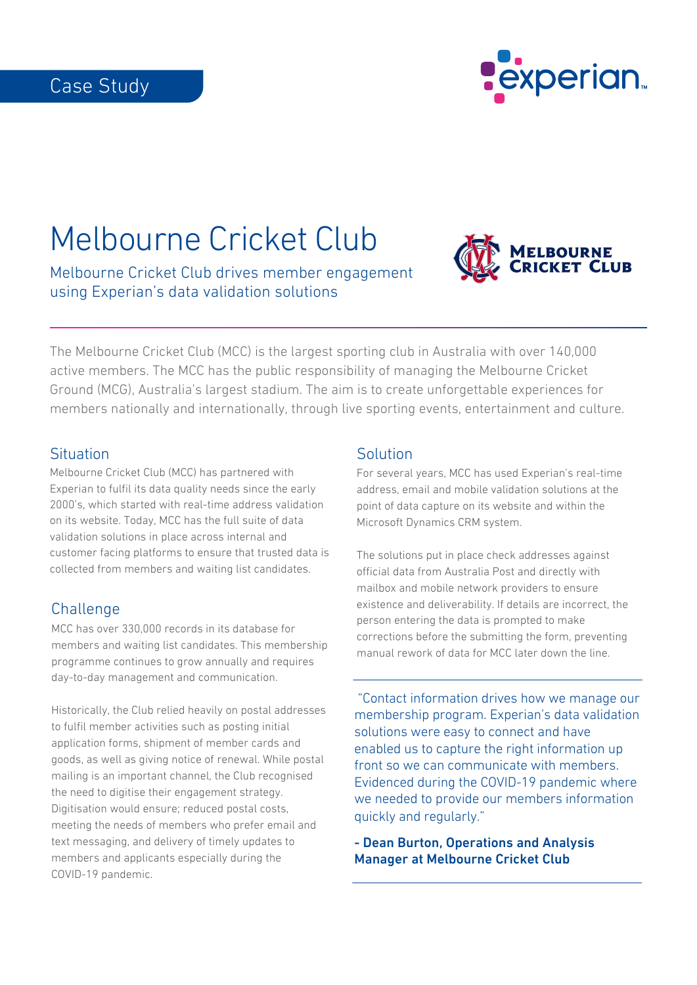

# Melbourne Cricket Club

Melbourne Cricket Club drives member engagement using Experian's data validation solutions



The Melbourne Cricket Club (MCC) is the largest sporting club in Australia with over 140,000 active members. The MCC has the public responsibility of managing the Melbourne Cricket Ground (MCG), Australia's largest stadium. The aim is to create unforgettable experiences for members nationally and internationally, through live sporting events, entertainment and culture.

## **Situation**

Melbourne Cricket Club (MCC) has partnered with Experian to fulfil its data quality needs since the early 2000's, which started with real-time address validation on its website. Today, MCC has the full suite of data validation solutions in place across internal and customer facing platforms to ensure that trusted data is collected from members and waiting list candidates.

# **Challenge**

MCC has over 330,000 records in its database for members and waiting list candidates. This membership programme continues to grow annually and requires day-to-day management and communication.

Historically, the Club relied heavily on postal addresses to fulfil member activities such as posting initial application forms, shipment of member cards and goods, as well as giving notice of renewal. While postal mailing is an important channel, the Club recognised the need to digitise their engagement strategy. Digitisation would ensure; reduced postal costs, meeting the needs of members who prefer email and text messaging, and delivery of timely updates to members and applicants especially during the COVID-19 pandemic.

## **Solution**

For several years, MCC has used Experian's real-time address, email and mobile validation solutions at the point of data capture on its website and within the Microsoft Dynamics CRM system.

The solutions put in place check addresses against official data from Australia Post and directly with mailbox and mobile network providers to ensure existence and deliverability. If details are incorrect, the person entering the data is prompted to make corrections before the submitting the form, preventing manual rework of data for MCC later down the line.

 "Contact information drives how we manage our membership program. Experian's data validation solutions were easy to connect and have enabled us to capture the right information up front so we can communicate with members. Evidenced during the COVID-19 pandemic where we needed to provide our members information quickly and regularly."

- Dean Burton, Operations and Analysis Manager at Melbourne Cricket Club